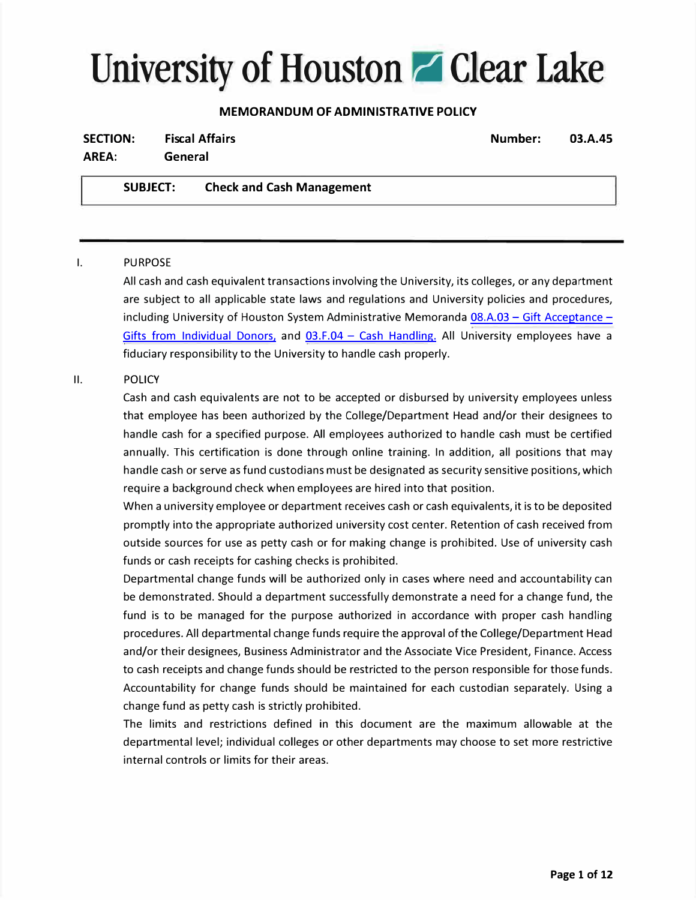# **University of Houston a Clear Lake**

# **MEMORANDUM OF ADMINISTRATIVE POLICY**

| <b>Fiscal Affairs</b><br><b>SECTION:</b> |                 |                                  | Number: | 03.A.45 |
|------------------------------------------|-----------------|----------------------------------|---------|---------|
| AREA:                                    | General         |                                  |         |         |
|                                          | <b>SUBJECT:</b> | <b>Check and Cash Management</b> |         |         |

# I. PURPOSE

All cash and cash equivalent transactions involving the University, its colleges, or any department are subject to all applicable state laws and regulations and University policies and procedures, including University of Houston System Administrative Memoranda  $08.A.03 - Gift$  Acceptance -[Gifts from Individual Donors,](https://uhsystem.edu/compliance-ethics/_docs/sam/08/8a3.pdf) and  $03.F.04 - Cash$  Handling. All University employees have a fiduciary responsibility to the University to handle cash properly.

# II. POLICY

Cash and cash equivalents are not to be accepted or disbursed by university employees unless that employee has been authorized by the College/Department Head and/or their designees to handle cash for a specified purpose. All employees authorized to handle cash must be certified annually. This certification is done through online training. In addition, all positions that may handle cash or serve as fund custodians must be designated as security sensitive positions, which require a background check when employees are hired into that position.

When a university employee or department receives cash or cash equivalents, it is to be deposited promptly into the appropriate authorized university cost center. Retention of cash received from outside sources for use as petty cash or for making change is prohibited. Use of university cash funds or cash receipts for cashing checks is prohibited.

Departmental change funds will be authorized only in cases where need and accountability can be demonstrated. Should a department successfully demonstrate a need for a change fund, the fund is to be managed for the purpose authorized in accordance with proper cash handling procedures. All departmental change funds require the approval of the College/Department Head and/or their designees, Business Administrator and the Associate Vice President, Finance. Access to cash receipts and change funds should be restricted to the person responsible for those funds. Accountability for change funds should be maintained for each custodian separately. Using a change fund as petty cash is strictly prohibited.

The limits and restrictions defined in this document are the maximum allowable at the departmental level; individual colleges or other departments may choose to set more restrictive internal controls or limits for their areas.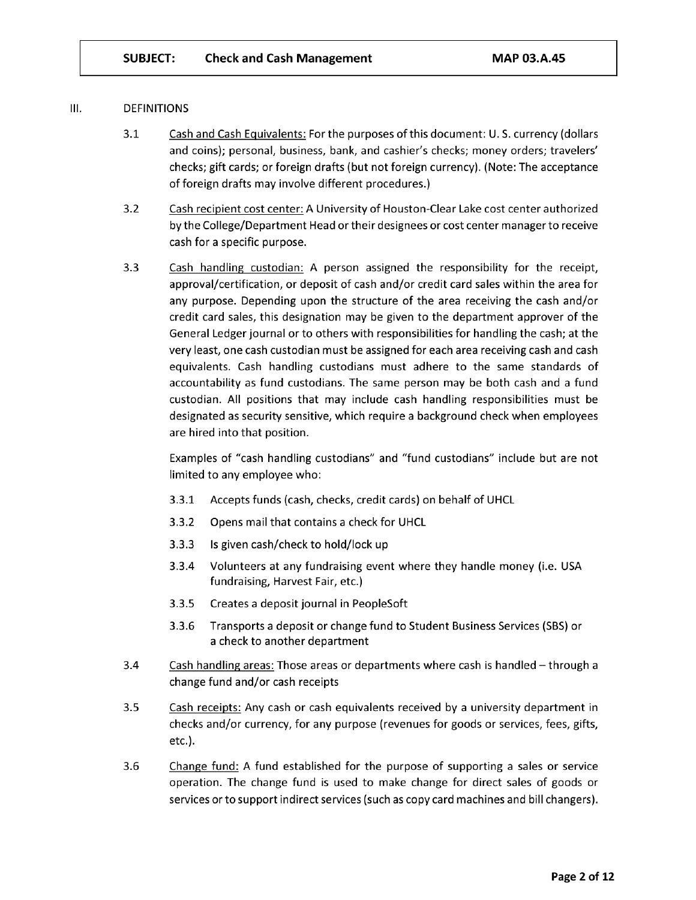#### Ш. **DEFINITIONS**

- $3.1$ Cash and Cash Equivalents: For the purposes of this document: U.S. currency (dollars and coins); personal, business, bank, and cashier's checks; money orders; travelers' checks; gift cards; or foreign drafts (but not foreign currency). (Note: The acceptance of foreign drafts may involve different procedures.)
- $3.2$ Cash recipient cost center: A University of Houston-Clear Lake cost center authorized by the College/Department Head or their designees or cost center manager to receive cash for a specific purpose.
- $3.3$ Cash handling custodian: A person assigned the responsibility for the receipt, approval/certification, or deposit of cash and/or credit card sales within the area for any purpose. Depending upon the structure of the area receiving the cash and/or credit card sales, this designation may be given to the department approver of the General Ledger journal or to others with responsibilities for handling the cash; at the very least, one cash custodian must be assigned for each area receiving cash and cash equivalents. Cash handling custodians must adhere to the same standards of accountability as fund custodians. The same person may be both cash and a fund custodian. All positions that may include cash handling responsibilities must be designated as security sensitive, which require a background check when employees are hired into that position.

Examples of "cash handling custodians" and "fund custodians" include but are not limited to any employee who:

- $3.3.1$ Accepts funds (cash, checks, credit cards) on behalf of UHCL
- $3.3.2$ Opens mail that contains a check for UHCL
- $3.3.3$ Is given cash/check to hold/lock up
- $3.3.4$ Volunteers at any fundraising event where they handle money (i.e. USA fundraising, Harvest Fair, etc.)
- $3.3.5$ Creates a deposit journal in PeopleSoft
- $3.3.6$ Transports a deposit or change fund to Student Business Services (SBS) or a check to another department
- $3.4$ Cash handling areas: Those areas or departments where cash is handled - through a change fund and/or cash receipts
- $3.5$ Cash receipts: Any cash or cash equivalents received by a university department in checks and/or currency, for any purpose (revenues for goods or services, fees, gifts, etc.).
- $3.6$ Change fund: A fund established for the purpose of supporting a sales or service operation. The change fund is used to make change for direct sales of goods or services or to support indirect services (such as copy card machines and bill changers).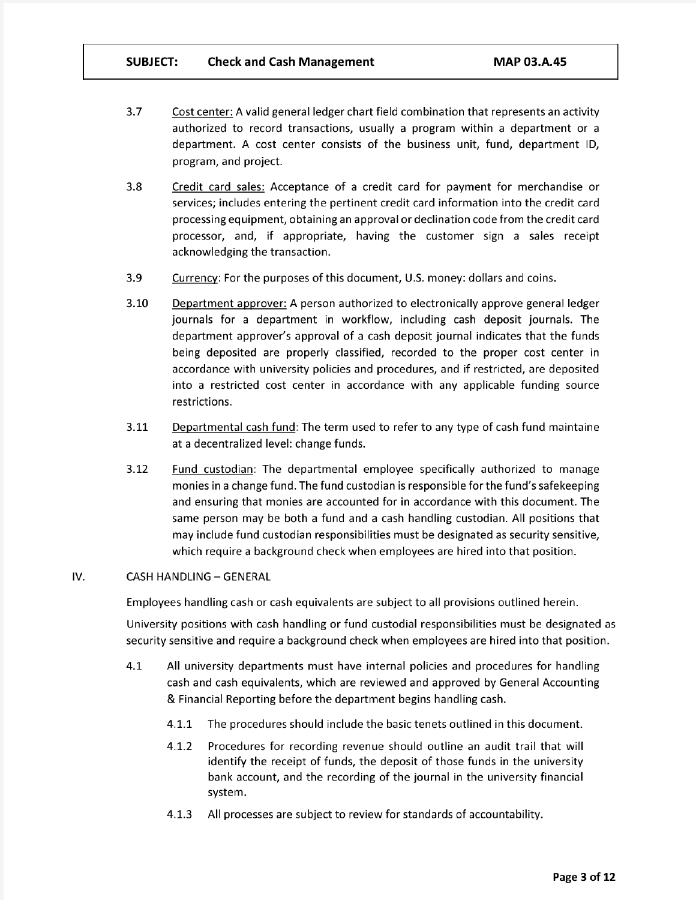- $3.7$ Cost center: A valid general ledger chart field combination that represents an activity authorized to record transactions, usually a program within a department or a department. A cost center consists of the business unit, fund, department ID, program, and project.
- $3.8$ Credit card sales: Acceptance of a credit card for payment for merchandise or services; includes entering the pertinent credit card information into the credit card processing equipment, obtaining an approval or declination code from the credit card processor, and, if appropriate, having the customer sign a sales receipt acknowledging the transaction.
- $3.9$ Currency: For the purposes of this document, U.S. money: dollars and coins.
- $3.10$ Department approver: A person authorized to electronically approve general ledger journals for a department in workflow, including cash deposit journals. The department approver's approval of a cash deposit journal indicates that the funds being deposited are properly classified, recorded to the proper cost center in accordance with university policies and procedures, and if restricted, are deposited into a restricted cost center in accordance with any applicable funding source restrictions.
- $3.11$ Departmental cash fund: The term used to refer to any type of cash fund maintaine at a decentralized level: change funds.
- $3.12$ Fund custodian: The departmental employee specifically authorized to manage monies in a change fund. The fund custodian is responsible for the fund's safekeeping and ensuring that monies are accounted for in accordance with this document. The same person may be both a fund and a cash handling custodian. All positions that may include fund custodian responsibilities must be designated as security sensitive, which require a background check when employees are hired into that position.

#### IV. **CASH HANDLING - GENERAL**

Employees handling cash or cash equivalents are subject to all provisions outlined herein.

University positions with cash handling or fund custodial responsibilities must be designated as security sensitive and require a background check when employees are hired into that position.

- 4.1 All university departments must have internal policies and procedures for handling cash and cash equivalents, which are reviewed and approved by General Accounting & Financial Reporting before the department begins handling cash.
	- $4.1.1$ The procedures should include the basic tenets outlined in this document.
	- Procedures for recording revenue should outline an audit trail that will  $4.1.2$ identify the receipt of funds, the deposit of those funds in the university bank account, and the recording of the journal in the university financial system.
	- All processes are subject to review for standards of accountability. 4.1.3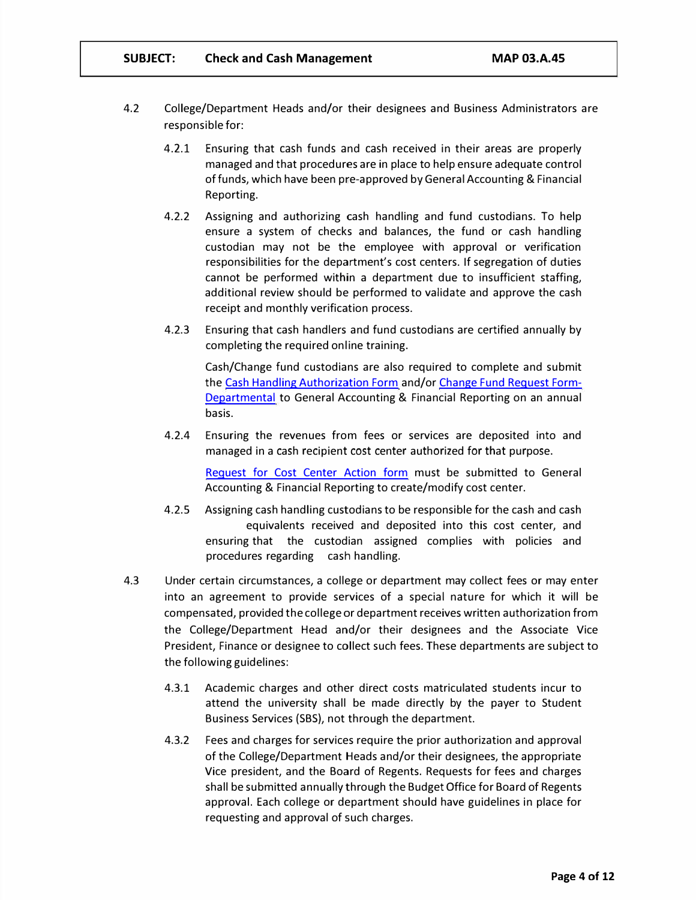- 4.2 College/Department Heads and/or their designees and Business Administrators are responsible for:
	- 4.2.1 Ensuring that cash funds and cash received in their areas are properly managed and that procedures are in place to help ensure adequate control of funds, which have been pre-approved by General Accounting & Financial Reporting.
	- 4.2.2 Assigning and authorizing cash handling and fund custodians. To help ensure a system of checks and balances, the fund or cash handling custodian may not be the employee with approval or verification responsibilities for the department's cost centers. If segregation of duties cannot be performed within a department due to insufficient staffing, additional review should be performed to validate and approve the cash receipt and monthly verification process.
	- 4.2.3 Ensuring that cash handlers and fund custodians are certified annually by completing the required online training.

Cash/Change fund custodians are also required to complete and submit the Cash Handling Authorization Form and/or [Change Fund Request Form](https://www.uhcl.edu/about/administrative-offices/finance/documents/change-fund-request-form-department.pdf)-[Departmental](https://www.uhcl.edu/about/administrative-offices/finance/documents/change-fund-request-form-department.pdf) to General Accounting & Financial Reporting on an annual basis.

4.2.4 Ensuring the revenues from fees or services are deposited into and managed in a cash recipient cost center authorized for that purpose.

Request for Cost [Center Action form](https://www.uhcl.edu/about/administrative-offices/finance/documents/cost-center-request-for-action-form.pdf) must be submitted to General Accounting & Financial Reporting to create/modify cost center.

- 4.2.5 Assigning cash handling custodians to be responsible for the cash and cash equivalents received and deposited into this cost center, and ensuring that the custodian assigned complies with policies and procedures regarding cash handling.
- 4.3 Under certain circumstances, a college or department may collect fees or may enter into an agreement to provide services of a special nature for which it will be compensated, provided the college or department receives written authorization from the College/Department Head and/or their designees and the Associate Vice President, Finance or designee to collect such fees. These departments are subject to the following guidelines:
	- 4.3.1 Academic charges and other direct costs matriculated students incur to attend the university shall be made directly by the payer to Student Business Services (SBS), not through the department.
	- 4.3.2 Fees and charges for services require the prior authorization and approval of the College/Department Heads and/or their designees, the appropriate Vice president, and the Board of Regents. Requests for fees and charges shall be submitted annually through the Budget Office for Board of Regents approval. Each college or department should have guidelines in place for requesting and approval of such charges.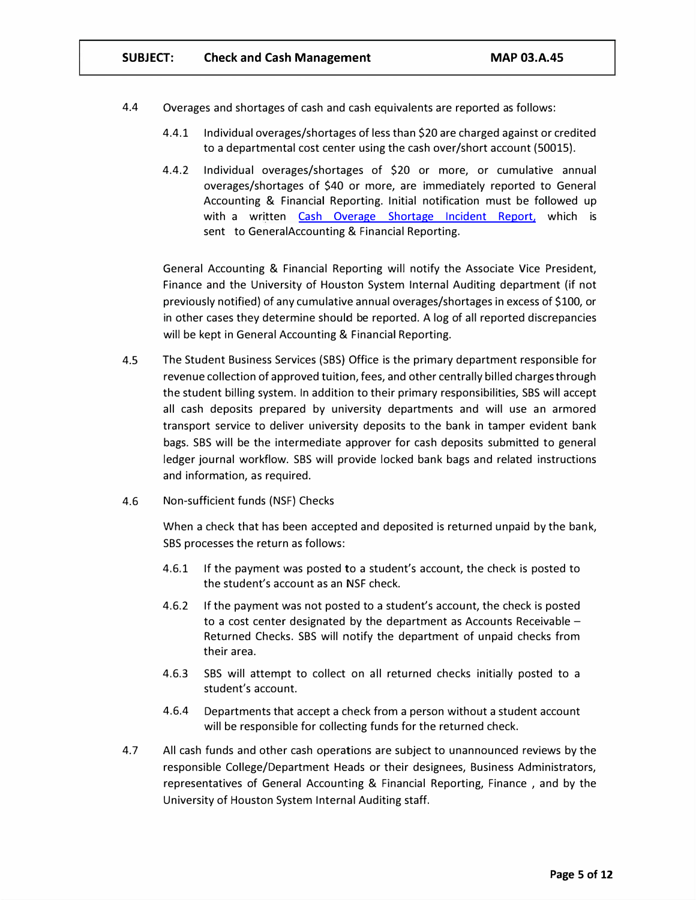- 4.4 Overages and shortages of cash and cash equivalents are reported as follows:
	- 4.4.1 Individual overages/shortages of less than \$20 are charged against or credited to a departmental cost center using the cash over/short account (50015).
	- 4.4.2 Individual overages/shortages of \$20 or more, or cumulative annual overages/shortages of \$40 or more, are immediately reported to General Accounting & Financial Reporting. Initial notification must be followed up with a written Cash Overage [Shortage](https://www.uhcl.edu/about/administrative-offices/finance/documents/cash-overage-shortage-incident-report.pdf) Incident Report, which is sent to GeneralAccounting & Financial Reporting.

General Accounting & Financial Reporting will notify the Associate Vice President, Finance and the University of Houston System Internal Auditing department (if not previously notified) of any cumulative annual overages/shortages in excess of \$100, or in other cases they determine should be reported. A log of all reported discrepancies will be kept in General Accounting & Financial Reporting.

- 4.5 The Student Business Services (SBS) Office is the primary department responsible for revenue collection of approved tuition, fees, and other centrally billed charges through the student billing system. In addition to their primary responsibilities, SBS will accept all cash deposits prepared by university departments and will use an armored transport service to deliver university deposits to the bank in tamper evident bank bags. SBS will be the intermediate approver for cash deposits submitted to general ledger journal workflow. SBS will provide locked bank bags and related instructions and information, as required.
- 4.6 Non-sufficient funds (NSF) Checks

When a check that has been accepted and deposited is returned unpaid by the bank, SBS processes the return as follows:

- 4.6.1 If the payment was posted to a student's account, the check is posted to the student's account as an NSF check.
- 4.6.2 If the payment was not posted to a student's account, the check is posted to a cost center designated by the department as Accounts Receivable  $-$ Returned Checks. SBS will notify the department of unpaid checks from their area.
- 4.6.3 SBS will attempt to collect on all returned checks initially posted to a student's account.
- 4.6.4 Departments that accept a check from a person without a student account will be responsible for collecting funds for the returned check.
- 4.7 All cash funds and other cash operations are subject to unannounced reviews by the responsible College/Department Heads or their designees, Business Administrators, representatives of General Accounting & Financial Reporting, Finance , and by the University of Houston System Internal Auditing staff.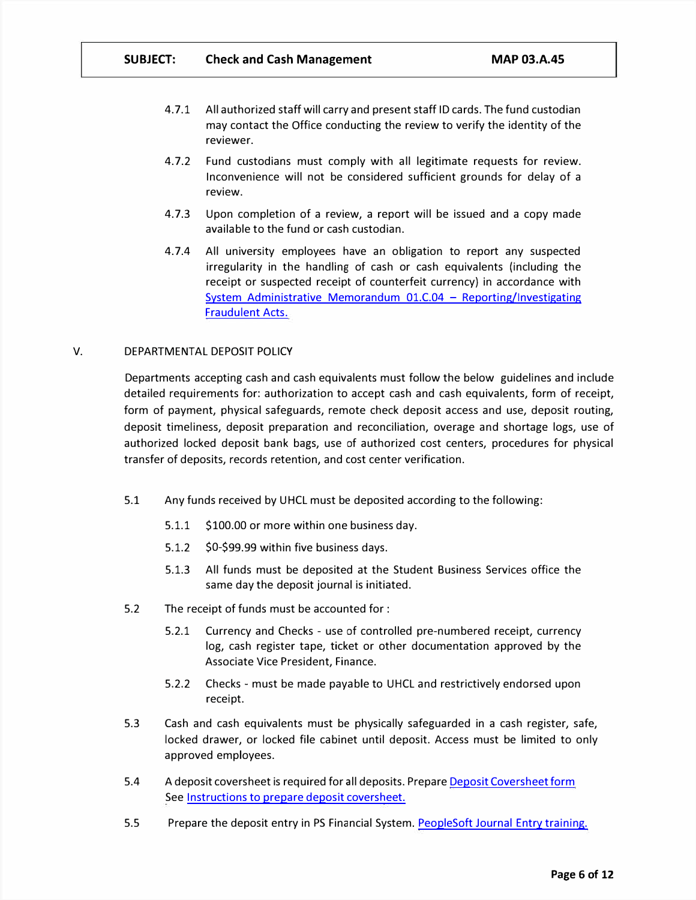- 4. 7.1 All authorized staff will carry and present staff ID cards. The fund custodian may contact the Office conducting the review to verify the identity of the reviewer.
- 4. 7.2 Fund custodians must comply with all legitimate requests for review. Inconvenience will not be considered sufficient grounds for delay of a review.
- 4.7.3 Upon completion of a review, a report will be issued and a copy made available to the fund or cash custodian.
- 4.7.4 All university employees have an obligation to report any suspected irregularity in the handling of cash or cash equivalents (including the receipt or suspected receipt of counterfeit currency) in accordance with System Administrative Memorandum  $01.C.04 -$  Reporting/Investigating Fraudulent Acts.

# V. DEPARTMENTAL DEPOSIT POLICY

Departments accepting cash and cash equivalents must follow the below guidelines and include detailed requirements for: authorization to accept cash and cash equivalents, form of receipt, form of payment, physical safeguards, remote check deposit access and use, deposit routing, deposit timeliness, deposit preparation and reconciliation, overage and shortage logs, use of authorized locked deposit bank bags, use of authorized cost centers, procedures for physical transfer of deposits, records retention, and cost center verification.

- 5.1 Any funds received by UHCL must be deposited according to the following:
	- 5.1.1 \$100.00 or more within one business day.
	- 5.1.2 \$0-\$99.99 within five business days.
	- 5.1.3 All funds must be deposited at the Student Business Services office the same day the deposit journal is initiated.
- 5.2 The receipt of funds must be accounted for :
	- 5.2.1 Currency and Checks use of controlled pre-numbered receipt, currency log, cash register tape, ticket or other documentation approved by the Associate Vice President, Finance.
	- 5.2.2 Checks must be made payable to UHCL and restrictively endorsed upon receipt.
- 5.3 Cash and cash equivalents must be physically safeguarded in a cash register, safe, locked drawer, or locked file cabinet until deposit. Access must be limited to only approved employees.
- 5.4 A deposit coversheet is required for all deposits. Prepare [Deposit Coversheet form](https://www.uhcl.edu/about/administrative-offices/finance/documents/deposit-coversheet-form.xls) See [Instructions to prepare deposit coversheet.](https://www.uhcl.edu/about/administrative-offices/finance/documents/deposit-coversheet-form-instructions.pdf)
- 5.5 Prepare the deposit entry in PS Financial System. PeopleSoft Journal Entry training.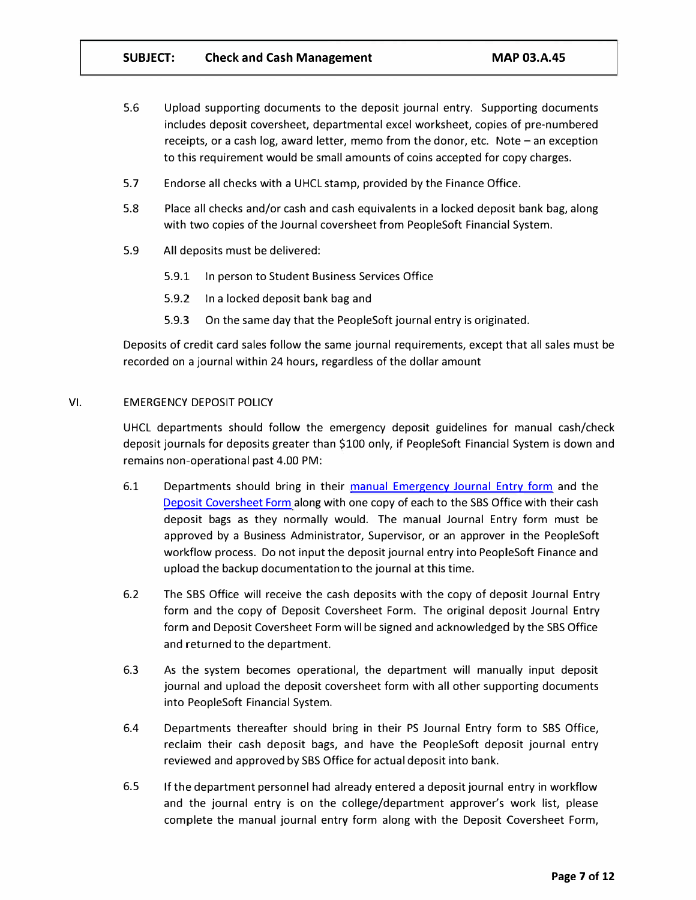- 5.6 Upload supporting documents to the deposit journal entry. Supporting documents includes deposit coversheet, departmental excel worksheet, copies of pre-numbered receipts, or a cash log, award letter, memo from the donor, etc. Note  $-$  an exception to this requirement would be small amounts of coins accepted for copy charges.
- 5.7 Endorse all checks with a UHCL stamp, provided by the Finance Office.
- 5.8 Place all checks and/or cash and cash equivalents in a locked deposit bank bag, along with two copies of the Journal coversheet from PeopleSoft Financial System.
- 5.9 All deposits must be delivered:
	- 5.9.1 In person to Student Business Services Office
	- 5.9.2 In a locked deposit bank bag and
	- 5.9.3 On the same day that the PeopleSoft journal entry is originated.

Deposits of credit card sales follow the same journal requirements, except that all sales must be recorded on a journal within 24 hours, regardless of the dollar amount

## VI. EMERGENCY DEPOSIT POLICY

UHCL departments should follow the emergency deposit guidelines for manual cash/check deposit journals for deposits greater than \$100 only, if PeopleSoft Financial System is down and remains non-operational past 4.00 PM:

- 6.1 Departments should bring in their manual [Emergency Journal](https://www.uhcl.edu/about/administrative-offices/finance/documents/emergency-journal-entry-form.xlsx) Entry form and the [Deposit Coversheet Form](https://www.uhcl.edu/about/administrative-offices/finance/documents/deposit-coversheet-form.xls) along with one copy of each to the SBS Office with their cash deposit bags as they normally would. The manual Journal Entry form must be approved by a Business Administrator, Supervisor, or an approver in the PeopleSoft workflow process. Do not input the deposit journal entry into PeopleSoft Finance and upload the backup documentationto the journal at this time.
- 6.2 The SBS Office will receive the cash deposits with the copy of deposit Journal Entry form and the copy of Deposit Coversheet Form. The original deposit Journal Entry form and Deposit Coversheet Form willbe signed and acknowledged by the SBS Office and returned to the department.
- 6.3 As the system becomes operational, the department will manually input deposit journal and upload the deposit coversheet form with all other supporting documents into PeopleSoft Financial System.
- 6.4 Departments thereafter should bring in their PS Journal Entry form to SBS Office, reclaim their cash deposit bags, and have the PeopleSoft deposit journal entry reviewed and approved by SBS Office for actual deposit into bank.
- 6.5 If the department personnel had already entered a deposit journal entry in workflow and the journal entry is on the college/department approver's work list, please complete the manual journal entry form along with the Deposit Coversheet Form,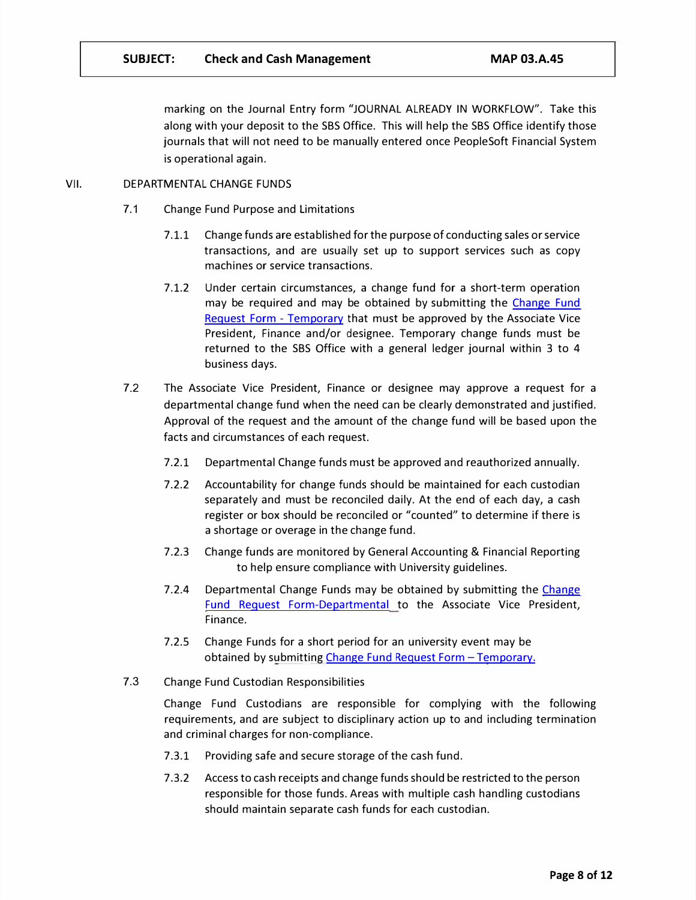marking on the Journal Entry form "JOURNAL ALREADY IN WORKFLOW". Take this along with your deposit to the SBS Office. This will help the SBS Office identify those journals that will not need to be manually entered once PeopleSoft Financial System is operational again.

# VII. DEPARTMENTAL CHANGE FUNDS

- 7.1 Change Fund Purpose and Limitations
	- 7.1.1 Change funds are established for the purpose of conducting sales or service transactions, and are usually set up to support services such as copy machines or service transactions.
	- 7.1.2 Under certain circumstances, a change fund for a short-term operation may be required and may be obtained by submitting the [Change](https://www.uhcl.edu/about/administrative-offices/finance/documents/change-fund-request-form-temporary.pdf) Fund Request Form [- Temporary](https://www.uhcl.edu/about/administrative-offices/finance/documents/change-fund-request-form-temporary.pdf) that must be approved by the Associate Vice President, Finance and/or designee. Temporary change funds must be returned to the SBS Office with a general ledger journal within 3 to 4 business days.
- 7.2 The Associate Vice President, Finance or designee may approve a request for a departmental change fund when the need can be clearly demonstrated and justified. Approval of the request and the amount of the change fund will be based upon the facts and circumstances of each request.
	- 7.2.1 Departmental Change funds must be approved and reauthorized annually.
	- 7.2.2 Accountability for change funds should be maintained for each custodian separately and must be reconciled daily. At the end of each day, a cash register or box should be reconciled or "counted" to determine if there is a shortage or overage in the change fund.
	- 7.2.3 Change funds are monitored by General Accounting & Financial Reporting to help ensure compliance with University guidelines.
	- 7.2.4 Departmental [Change](https://www.uhcl.edu/about/administrative-offices/finance/documents/change-fund-request-form-department.pdf) Funds may be obtained by submitting the Change [Fund Request Form-Departmental](https://www.uhcl.edu/about/administrative-offices/finance/documents/change-fund-request-form-department.pdf) to the Associate Vice President, Finance.
	- 7.2.5 Change Funds for a short period for an university event may be obtained by submitting Change Fund Request Form - Temporary.
- 7.3 Change Fund Custodian Responsibilities

Change Fund Custodians are responsible for complying with the following requirements, and are subject to disciplinary action up to and including termination and criminal charges for non-compliance.

- 7.3.1 Providing safe and secure storage of the cash fund.
- 7.3.2 Access to cash receipts and change funds should be restricted to the person responsible for those funds. Areas with multiple cash handling custodians should maintain separate cash funds for each custodian.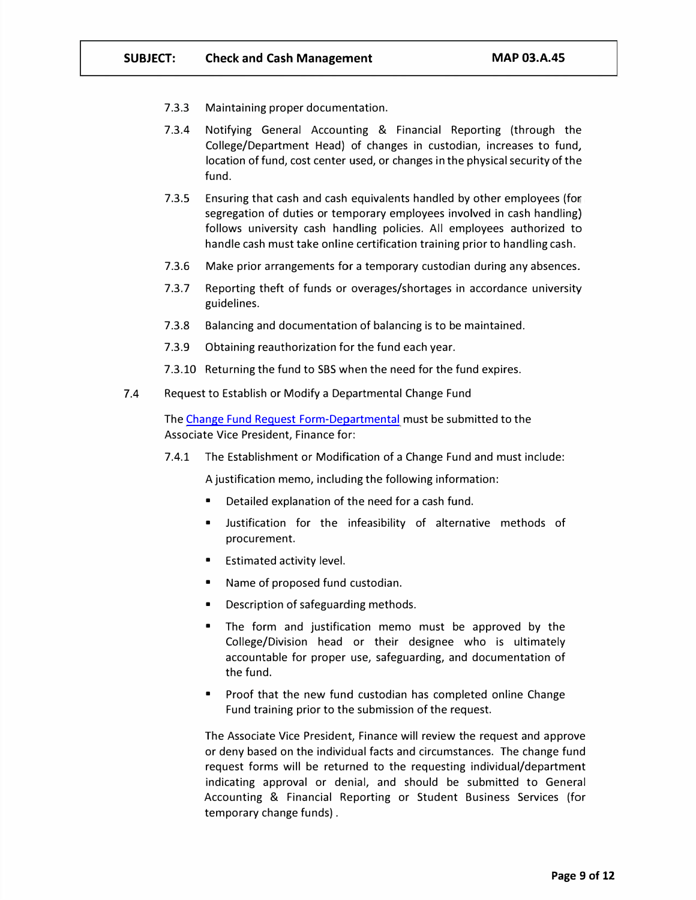- 7.3.3 Maintaining proper documentation.
- 7.3.4 Notifying General Accounting & Financial Reporting (through the College/Department Head) of changes in custodian, increases to fund, location of fund, cost center used, or changes in the physical security of the fund.
- 7.3.5 Ensuring that cash and cash equivalents handled by other employees (for segregation of duties or temporary employees involved in cash handling) follows university cash handling policies. All employees authorized to handle cash must take online certification training prior to handling cash.
- 7.3.6 Make prior arrangements for a temporary custodian during any absences.
- 7.3.7 Reporting theft of funds or overages/shortages in accordance university guidelines.
- 7.3.8 Balancing and documentation of balancing is to be maintained.
- 7.3.9 Obtaining reauthorization for the fund each year.
- 7.3.10 Returning the fund to SBS when the need for the fund expires.
- 7.4 Request to Establish or Modify a Departmental Change Fund

The Change Fund Request [Form-Departmental](https://www.uhcl.edu/about/administrative-offices/finance/documents/change-fund-request-form-department.pdf) must be submitted to the Associate Vice President, Finance for:

7.4.1 The Establishment or Modification of a Change Fund and must include:

A justification memo, including the following information:

- Detailed explanation of the need for a cash fund.
- Justification for the infeasibility of alternative methods of procurement.
- Estimated activity level.
- Name of proposed fund custodian.
- Description of safeguarding methods.
- The form and justification memo must be approved by the College/Division head or their designee who is ultimately accountable for proper use, safeguarding, and documentation of the fund.
- Proof that the new fund custodian has completed online Change Fund training prior to the submission of the request.

The Associate Vice President, Finance will review the request and approve or deny based on the individual facts and circumstances. The change fund request forms will be returned to the requesting individual/department indicating approval or denial, and should be submitted to General Accounting & Financial Reporting or Student Business Services (for temporary change funds).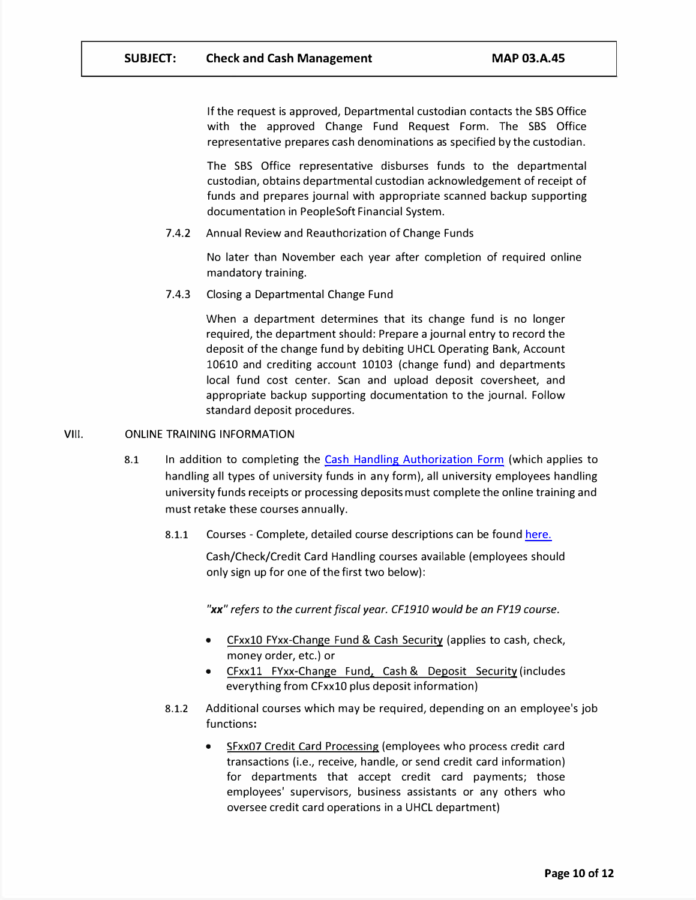If the request is approved, Departmental custodian contacts the SBS Office with the approved Change Fund Request Form. The SBS Office representative prepares cash denominations as specified by the custodian.

The SBS Office representative disburses funds to the departmental custodian, obtains departmental custodian acknowledgement of receipt of funds and prepares journal with appropriate scanned backup supporting documentation in PeopleSoft Financial System.

7.4.2 Annual Review and Reauthorization of Change Funds

No later than November each year after completion of required online mandatory training.

7.4.3 Closing a Departmental Change Fund

When a department determines that its change fund is no longer required, the department should: Prepare a journal entry to record the deposit of the change fund by debiting UHCL Operating Bank, Account 10610 and crediting account 10103 (change fund) and departments local fund cost center. Scan and upload deposit coversheet, and appropriate backup supporting documentation to the journal. Follow standard deposit procedures.

#### VIII. ONLINE TRAINING INFORMATION

- 8.1 In addition to completing the Cash [Handling Authorization](https://www.uhcl.edu/about/administrative-offices/finance/documents/cash-handling-authorization-form.pdf) Form (which applies to handling all types of university funds in any form), all university employees handling university funds receipts or processing deposits must complete the online training and must retake these courses annually.
	- 8.1.1 Courses Complete, detailed course descriptions can be found [here.](https://uh.edu/adminservices/training/mandatoryfinance.htm)

Cash/Check/Credit Card Handling courses available (employees should only sign up for one of the first two below):

*"xx" refers to the current fiscal year. CF1910 would be an FY19 course.* 

- CFxx10 FYxx-Change Fund & Cash Security (applies to cash, check, money order, etc.) or
- CFxxll FYxx-Change Fund, Cash & Deposit Security (includes everything from CFxxlO plus deposit information)
- 8.1.2 Additional courses which may be required, depending on an employee's job functions:
	- SFxx07 Credit Card Processing (employees who process credit card transactions (i.e., receive, handle, or send credit card information) for departments that accept credit card payments; those employees' supervisors, business assistants or any others who oversee credit card operations in a UHCL department)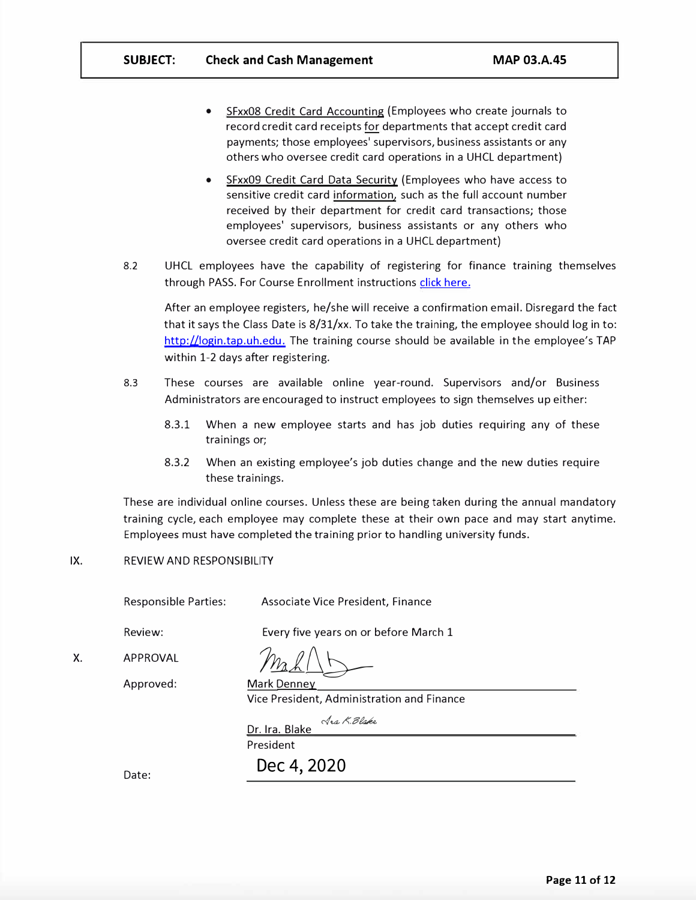- SFxx08 Credit Card Accounting (Employees who create journals to record credit card receipts for departments that accept credit card payments; those employees' supervisors, business assistants or any others who oversee credit card operations in a UHCL department)
- SFxx09 Credit Card Data Security (Employees who have access to sensitive credit card information, such as the full account number received by their department for credit card transactions; those employees' supervisors, business assistants or any others who oversee credit card operations in a UHCL department)
- 8.2 UHCL employees have the capability of registering for finance training themselves through PASS. For Course Enrollment instructions [click here.](https://uh.edu/adminservices/PASS/trainingenrollment.htm)

After an employee registers, he/she will receive a confirmation email. Disregard the fact that it says the Class Date is  $8/31/xx$ . To take the training, the employee should log in to: [http://login.tap.uh.edu.](https://login.tap.uh.edu/login.php) The training course should be available in the employee's TAP within 1-2 days after registering.

- 8.3 These courses are available online year-round. Supervisors and/or Business Administrators are encouraged to instruct employees to sign themselves up either:
	- 8.3.1 When a new employee starts and has job duties requiring any of these trainings or;
	- 8.3.2 When an existing employee's job duties change and the new duties require these trainings.

These are individual online courses. Unless these are being taken during the annual mandatory training cycle, each employee may complete these at their own pace and may start anytime. Employees must have completed the training prior to handling university funds.

#### IX. REVIEW AND RESPONSIBILITY

Responsible Parties:

Associate Vice President, Finance

Review:

X.

 $\frac{2}{\sqrt{2}}$ 

Approved:

APPROVAL

Mark Denney Vice President, Administration and Finance

Every five years on or before March 1

Jaa K. Blake Dr. Ira. Blake

President

**Dec 4, 2020** 

Date: